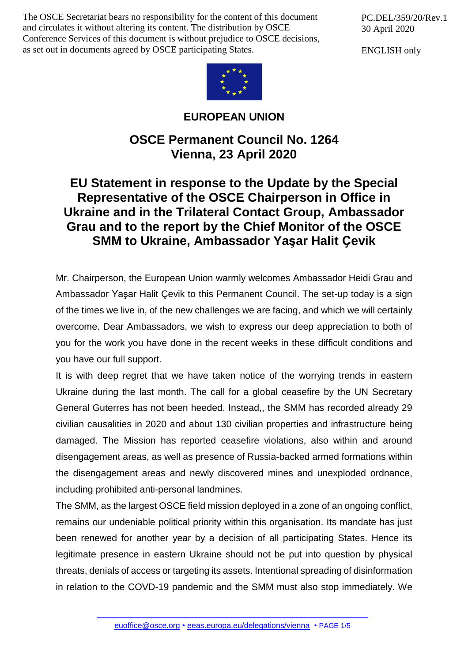The OSCE Secretariat bears no responsibility for the content of this document and circulates it without altering its content. The distribution by OSCE Conference Services of this document is without prejudice to OSCE decisions, as set out in documents agreed by OSCE participating States.

PC.DEL/359/20/Rev.1 30 April 2020

ENGLISH only



## **EUROPEAN UNION**

## **OSCE Permanent Council No. 1264 Vienna, 23 April 2020**

## **EU Statement in response to the Update by the Special Representative of the OSCE Chairperson in Office in Ukraine and in the Trilateral Contact Group, Ambassador Grau and to the report by the Chief Monitor of the OSCE SMM to Ukraine, Ambassador Yaşar Halit Ҫevik**

Mr. Chairperson, the European Union warmly welcomes Ambassador Heidi Grau and Ambassador Yaşar Halit Çevik to this Permanent Council. The set-up today is a sign of the times we live in, of the new challenges we are facing, and which we will certainly overcome. Dear Ambassadors, we wish to express our deep appreciation to both of you for the work you have done in the recent weeks in these difficult conditions and you have our full support.

It is with deep regret that we have taken notice of the worrying trends in eastern Ukraine during the last month. The call for a global ceasefire by the UN Secretary General Guterres has not been heeded. Instead,, the SMM has recorded already 29 civilian causalities in 2020 and about 130 civilian properties and infrastructure being damaged. The Mission has reported ceasefire violations, also within and around disengagement areas, as well as presence of Russia-backed armed formations within the disengagement areas and newly discovered mines and unexploded ordnance, including prohibited anti-personal landmines.

The SMM, as the largest OSCE field mission deployed in a zone of an ongoing conflict, remains our undeniable political priority within this organisation. Its mandate has just been renewed for another year by a decision of all participating States. Hence its legitimate presence in eastern Ukraine should not be put into question by physical threats, denials of access or targeting its assets. Intentional spreading of disinformation in relation to the COVD-19 pandemic and the SMM must also stop immediately. We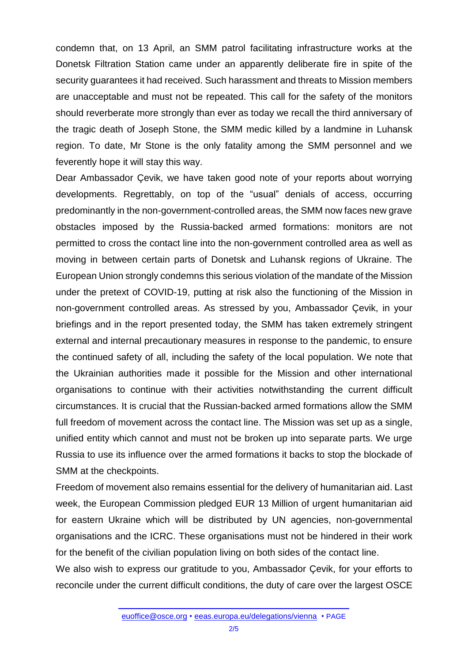condemn that, on 13 April, an SMM patrol facilitating infrastructure works at the Donetsk Filtration Station came under an apparently deliberate fire in spite of the security guarantees it had received. Such harassment and threats to Mission members are unacceptable and must not be repeated. This call for the safety of the monitors should reverberate more strongly than ever as today we recall the third anniversary of the tragic death of Joseph Stone, the SMM medic killed by a landmine in Luhansk region. To date, Mr Stone is the only fatality among the SMM personnel and we feverently hope it will stay this way.

Dear Ambassador Çevik, we have taken good note of your reports about worrying developments. Regrettably, on top of the "usual" denials of access, occurring predominantly in the non-government-controlled areas, the SMM now faces new grave obstacles imposed by the Russia-backed armed formations: monitors are not permitted to cross the contact line into the non-government controlled area as well as moving in between certain parts of Donetsk and Luhansk regions of Ukraine. The European Union strongly condemns this serious violation of the mandate of the Mission under the pretext of COVID-19, putting at risk also the functioning of the Mission in non-government controlled areas. As stressed by you, Ambassador Çevik, in your briefings and in the report presented today, the SMM has taken extremely stringent external and internal precautionary measures in response to the pandemic, to ensure the continued safety of all, including the safety of the local population. We note that the Ukrainian authorities made it possible for the Mission and other international organisations to continue with their activities notwithstanding the current difficult circumstances. It is crucial that the Russian-backed armed formations allow the SMM full freedom of movement across the contact line. The Mission was set up as a single, unified entity which cannot and must not be broken up into separate parts. We urge Russia to use its influence over the armed formations it backs to stop the blockade of SMM at the checkpoints.

Freedom of movement also remains essential for the delivery of humanitarian aid. Last week, the European Commission pledged EUR 13 Million of urgent humanitarian aid for eastern Ukraine which will be distributed by UN agencies, non-governmental organisations and the ICRC. These organisations must not be hindered in their work for the benefit of the civilian population living on both sides of the contact line.

We also wish to express our gratitude to you, Ambassador Çevik, for your efforts to reconcile under the current difficult conditions, the duty of care over the largest OSCE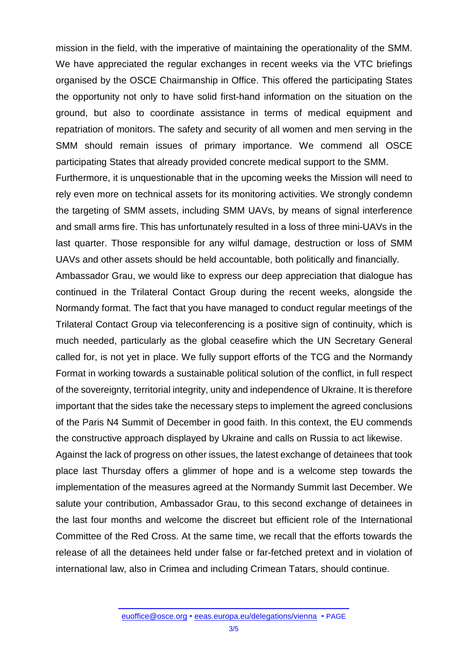mission in the field, with the imperative of maintaining the operationality of the SMM. We have appreciated the regular exchanges in recent weeks via the VTC briefings organised by the OSCE Chairmanship in Office. This offered the participating States the opportunity not only to have solid first-hand information on the situation on the ground, but also to coordinate assistance in terms of medical equipment and repatriation of monitors. The safety and security of all women and men serving in the SMM should remain issues of primary importance. We commend all OSCE participating States that already provided concrete medical support to the SMM.

Furthermore, it is unquestionable that in the upcoming weeks the Mission will need to rely even more on technical assets for its monitoring activities. We strongly condemn the targeting of SMM assets, including SMM UAVs, by means of signal interference and small arms fire. This has unfortunately resulted in a loss of three mini-UAVs in the last quarter. Those responsible for any wilful damage, destruction or loss of SMM UAVs and other assets should be held accountable, both politically and financially.

Ambassador Grau, we would like to express our deep appreciation that dialogue has continued in the Trilateral Contact Group during the recent weeks, alongside the Normandy format. The fact that you have managed to conduct regular meetings of the Trilateral Contact Group via teleconferencing is a positive sign of continuity, which is much needed, particularly as the global ceasefire which the UN Secretary General called for, is not yet in place. We fully support efforts of the TCG and the Normandy Format in working towards a sustainable political solution of the conflict, in full respect of the sovereignty, territorial integrity, unity and independence of Ukraine. It is therefore important that the sides take the necessary steps to implement the agreed conclusions of the Paris N4 Summit of December in good faith. In this context, the EU commends the constructive approach displayed by Ukraine and calls on Russia to act likewise.

Against the lack of progress on other issues, the latest exchange of detainees that took place last Thursday offers a glimmer of hope and is a welcome step towards the implementation of the measures agreed at the Normandy Summit last December. We salute your contribution, Ambassador Grau, to this second exchange of detainees in the last four months and welcome the discreet but efficient role of the International Committee of the Red Cross. At the same time, we recall that the efforts towards the release of all the detainees held under false or far-fetched pretext and in violation of international law, also in Crimea and including Crimean Tatars, should continue.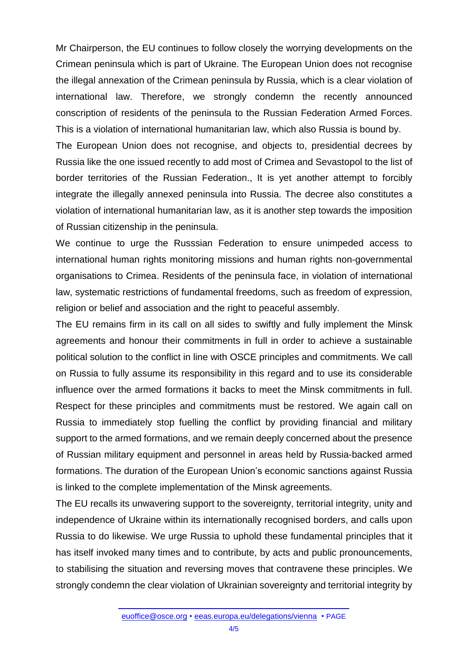Mr Chairperson, the EU continues to follow closely the worrying developments on the Crimean peninsula which is part of Ukraine. The European Union does not recognise the illegal annexation of the Crimean peninsula by Russia, which is a clear violation of international law. Therefore, we strongly condemn the recently announced conscription of residents of the peninsula to the Russian Federation Armed Forces. This is a violation of international humanitarian law, which also Russia is bound by.

The European Union does not recognise, and objects to, presidential decrees by Russia like the one issued recently to add most of Crimea and Sevastopol to the list of border territories of the Russian Federation., It is yet another attempt to forcibly integrate the illegally annexed peninsula into Russia. The decree also constitutes a violation of international humanitarian law, as it is another step towards the imposition of Russian citizenship in the peninsula.

We continue to urge the Russsian Federation to ensure unimpeded access to international human rights monitoring missions and human rights non-governmental organisations to Crimea. Residents of the peninsula face, in violation of international law, systematic restrictions of fundamental freedoms, such as freedom of expression, religion or belief and association and the right to peaceful assembly.

The EU remains firm in its call on all sides to swiftly and fully implement the Minsk agreements and honour their commitments in full in order to achieve a sustainable political solution to the conflict in line with OSCE principles and commitments. We call on Russia to fully assume its responsibility in this regard and to use its considerable influence over the armed formations it backs to meet the Minsk commitments in full. Respect for these principles and commitments must be restored. We again call on Russia to immediately stop fuelling the conflict by providing financial and military support to the armed formations, and we remain deeply concerned about the presence of Russian military equipment and personnel in areas held by Russia-backed armed formations. The duration of the European Union's economic sanctions against Russia is linked to the complete implementation of the Minsk agreements.

The EU recalls its unwavering support to the sovereignty, territorial integrity, unity and independence of Ukraine within its internationally recognised borders, and calls upon Russia to do likewise. We urge Russia to uphold these fundamental principles that it has itself invoked many times and to contribute, by acts and public pronouncements, to stabilising the situation and reversing moves that contravene these principles. We strongly condemn the clear violation of Ukrainian sovereignty and territorial integrity by